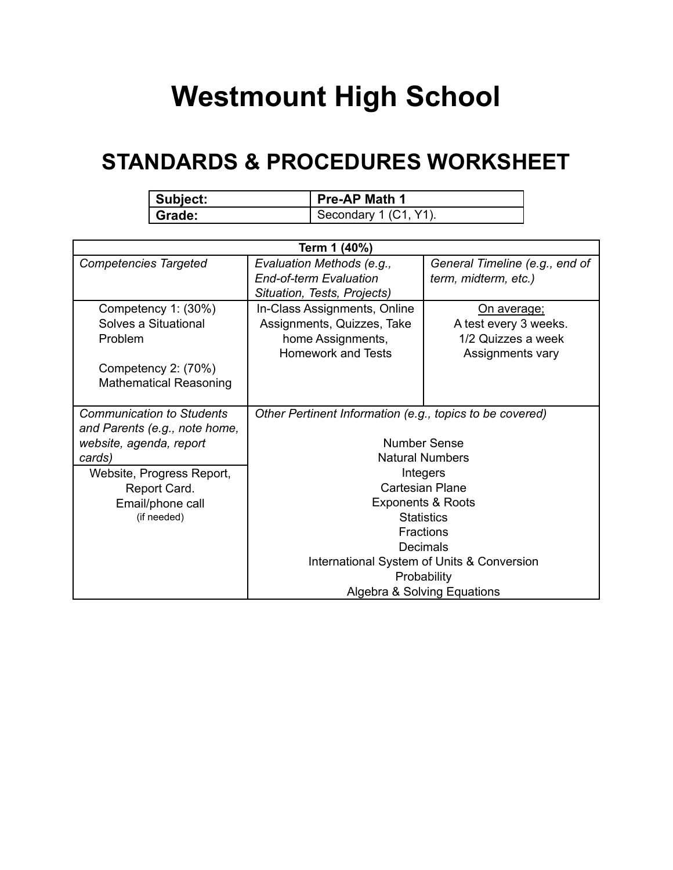## **Westmount High School**

## **STANDARDS & PROCEDURES WORKSHEET**

| <b>Subject:</b> | Pre-AP Math 1         |
|-----------------|-----------------------|
| Grade:          | Secondary 1 (C1, Y1). |

| Term 1 (40%)                     |                                                          |                                |  |  |
|----------------------------------|----------------------------------------------------------|--------------------------------|--|--|
| <b>Competencies Targeted</b>     | Evaluation Methods (e.g.,                                | General Timeline (e.g., end of |  |  |
|                                  | <b>End-of-term Evaluation</b>                            | term, midterm, etc.)           |  |  |
|                                  | Situation, Tests, Projects)                              |                                |  |  |
| Competency 1: (30%)              | In-Class Assignments, Online                             | <u>On average;</u>             |  |  |
| Solves a Situational             | Assignments, Quizzes, Take                               | A test every 3 weeks.          |  |  |
| Problem                          | home Assignments,                                        | 1/2 Quizzes a week             |  |  |
|                                  | <b>Homework and Tests</b>                                | Assignments vary               |  |  |
| Competency 2: (70%)              |                                                          |                                |  |  |
| <b>Mathematical Reasoning</b>    |                                                          |                                |  |  |
|                                  |                                                          |                                |  |  |
| <b>Communication to Students</b> | Other Pertinent Information (e.g., topics to be covered) |                                |  |  |
| and Parents (e.g., note home,    |                                                          |                                |  |  |
| website, agenda, report          | <b>Number Sense</b>                                      |                                |  |  |
| cards)                           | <b>Natural Numbers</b>                                   |                                |  |  |
| Website, Progress Report,        | Integers                                                 |                                |  |  |
| Report Card.                     | <b>Cartesian Plane</b>                                   |                                |  |  |
| Email/phone call                 | <b>Exponents &amp; Roots</b>                             |                                |  |  |
| (if needed)                      | <b>Statistics</b>                                        |                                |  |  |
|                                  | <b>Fractions</b>                                         |                                |  |  |
|                                  | Decimals                                                 |                                |  |  |
|                                  | International System of Units & Conversion               |                                |  |  |
|                                  | Probability                                              |                                |  |  |
|                                  | Algebra & Solving Equations                              |                                |  |  |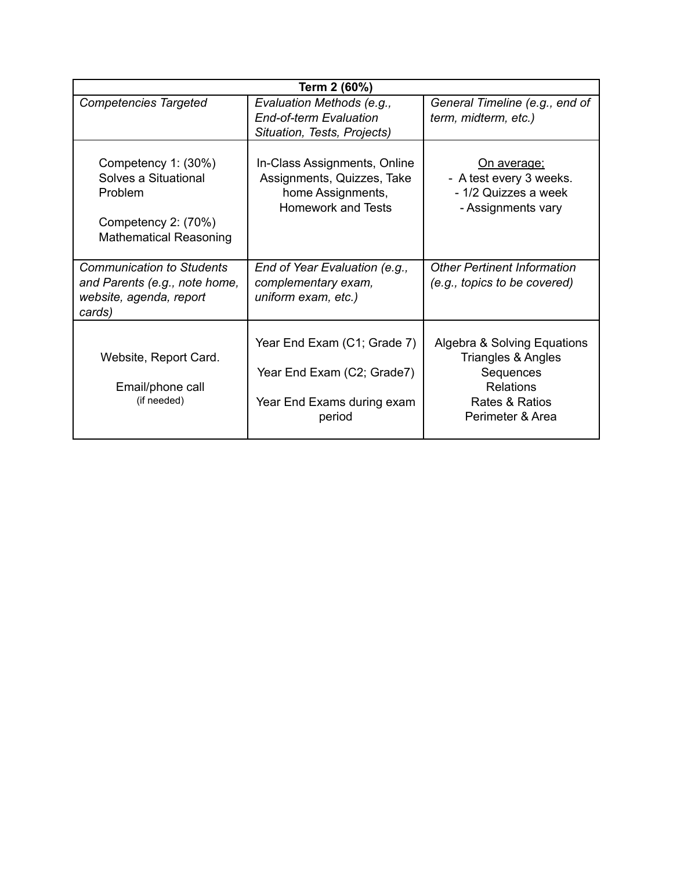| Term 2 (60%)                                                                                                   |                                                                                                              |                                                                                                                          |  |
|----------------------------------------------------------------------------------------------------------------|--------------------------------------------------------------------------------------------------------------|--------------------------------------------------------------------------------------------------------------------------|--|
| <b>Competencies Targeted</b>                                                                                   | Evaluation Methods (e.g.,<br><b>End-of-term Evaluation</b><br>Situation, Tests, Projects)                    | General Timeline (e.g., end of<br>term, midterm, etc.)                                                                   |  |
| Competency 1: (30%)<br>Solves a Situational<br>Problem<br>Competency 2: (70%)<br><b>Mathematical Reasoning</b> | In-Class Assignments, Online<br>Assignments, Quizzes, Take<br>home Assignments,<br><b>Homework and Tests</b> | <u>On average;</u><br>- A test every 3 weeks.<br>- 1/2 Quizzes a week<br>- Assignments vary                              |  |
| <b>Communication to Students</b><br>and Parents (e.g., note home,<br>website, agenda, report<br>cards)         | End of Year Evaluation (e.g.,<br>complementary exam,<br>uniform exam, etc.)                                  | <b>Other Pertinent Information</b><br>(e.g., topics to be covered)                                                       |  |
| Website, Report Card.<br>Email/phone call<br>(if needed)                                                       | Year End Exam (C1; Grade 7)<br>Year End Exam (C2; Grade7)<br>Year End Exams during exam<br>period            | Algebra & Solving Equations<br>Triangles & Angles<br>Sequences<br><b>Relations</b><br>Rates & Ratios<br>Perimeter & Area |  |